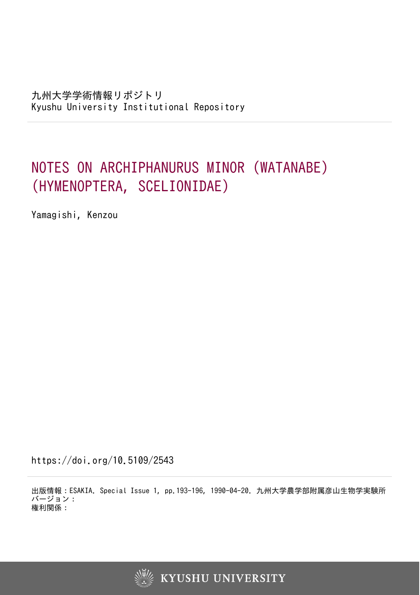# NOTES ON ARCHIPHANURUS MINOR (WATANABE) (HYMENOPTERA, SCELIONIDAE)

Yamagishi, Kenzou

https://doi.org/10.5109/2543

出版情報:ESAKIA. Special Issue 1, pp.193-196, 1990-04-20. 九州大学農学部附属彦山生物学実験所 バージョン: 権利関係:

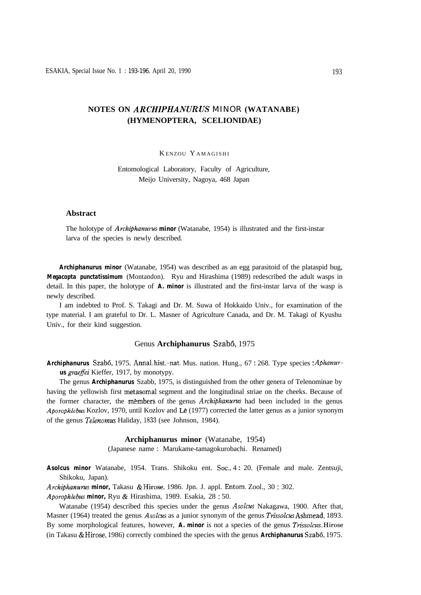## **NOTES ON** *ARCHIPHANURUS MINOR* **(WATANABE) (HYMENOPTERA, SCELIONIDAE)**

## K ENZOU Y AMAGISHI

Entomological Laboratory, Faculty of Agriculture, Meijo University, Nagoya, 468 Japan

## **Abstract**

The holotype of *Archiphanurus* **minor** (Watanabe, 1954) is illustrated and the first-instar larva of the species is newly described.

*Archiphanurus minor* (Watanabe, 1954) was described as an egg parasitoid of the plataspid bug, *Megacopta punctatissimum* (Montandon). Ryu and Hirashima (1989) redescribed the adult wasps in detail. In this paper, the holotype of *A. minor* is illustrated and the first-instar larva of the wasp is newly described.

I am indebted to Prof. S. Takagi and Dr. M. Suwa of Hokkaido Univ., for examination of the type material. I am grateful to Dr. L. Masner of Agriculture Canada, and Dr. M. Takagi of Kyushu Univ., for their kind suggestion.

#### Genus **Archiphanurus** Szabó, 1975

**Archiphanurus** Szabó, 1975. Annal hist.-nat. Mus. nation. Hung., 67:268. Type species: *Aphanurus graefei* Kieffer, 1917, by monotypy.

The genus *Archiphanurus* Szabb, 1975, is distinguished from the other genera of Telenominae by having the yellowish first metasomal segment and the longitudinal striae on the cheeks. Because of the former character, the members of the genus *Archiphanurus* had been included in the genus *Aporophlebus* Kozlov, 1970, until Kozlov and Lê (1977) corrected the latter genus as a junior synonym of the genus *Telenomus* Haliday, 1833 (see Johnson, 1984).

#### **Archiphanurus minor** (Watanabe, 1954)

(Japanese name : Marukame-tamagokurobachi. Renamed)

*Asolcus minor* Watanabe, 1954. Trans. Shikoku ent. Sot., 4 : 20. (Female and male. Zentsuji, Shikoku, Japan).

*Archiphanurms minor,* Takasu & Hirose, 1986. Jpn. J. appl. Entom. Zool., 30 : 302.

*Aporophlebus minor,* Ryu & Hirashima, 1989. Esakia, 28 : 50.

Watanabe (1954) described this species under the genus *Asolcus* Nakagawa, 1900. After that, Masner (1964) treated the genus *Asolcus* as a junior synonym of the genus *Trissolcus* Ashmead, 1893. By some morphological features, however, *A. minor* is not a species of the genus *Trissolcus.* Hirose (in Takasu & Hirose, 1986) correctly combined the species with the genus **Archiphanurus** Szabó, 1975.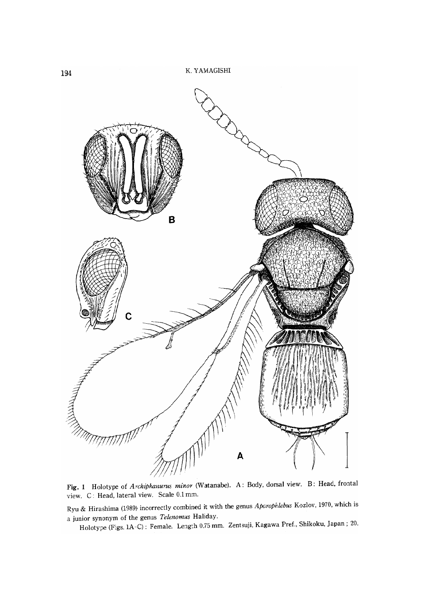

Fig. 1 Holotype of Archiphanurus minor (Watanabe). A: Body, dorsal view. B: Head, frontal view. C: Head, lateral view. Scale 0.1 mm.

Ryu & Hirashima (1989) incorrectly combined it with the genus Aporophlebus Kozlov, 1970, which is a junior synonym of the genus Telenomus Haliday.

Holotype (Figs. 1A-C): Female. Length 0.75 mm. Zentsuji, Kagawa Pref., Shikoku, Japan; 20.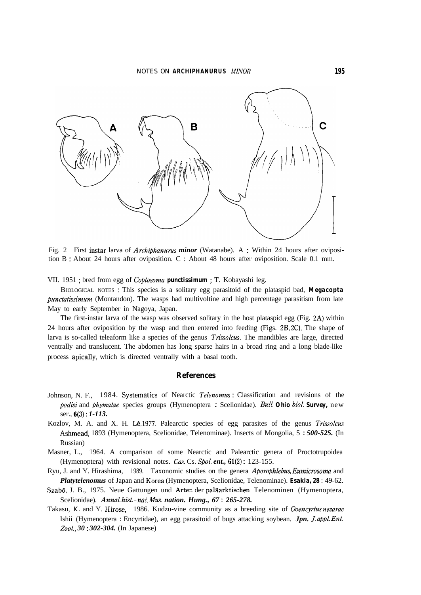

Fig. 2 First instar larva of *Archiphunurus minor* (Watanabe). A : Within 24 hours after oviposition B : About 24 hours after oviposition. C : About 48 hours after oviposition. Scale 0.1 mm.

VII. 1951 ; bred from egg of Coptosoma *punctissimum* ; T. Kobayashi leg.

BIOLOGICAL NOTES : This species is a solitary egg parasitoid of the plataspid bad, *Megacopta Punctatissimum* (Montandon). The wasps had multivoltine and high percentage parasitism from late May to early September in Nagoya, Japan.

The first-instar larva of the wasp was observed solitary in the host plataspid egg (Fig. 2A) within 24 hours after oviposition by the wasp and then entered into feeding (Figs. ZB, ZC). The shape of larva is so-called teleaform like a species of the genus *Trissolcus*. The mandibles are large, directed ventrally and translucent. The abdomen has long sparse hairs in a broad ring and a long blade-like process apically, which is directed ventrally with a basal tooth.

### **References**

- Johnson, N. F., 1984. Systematics of Nearctic *Telenomus* : Classification and revisions of the *podisi* and *phymatae* species groups (Hymenoptera : Scelionidae). *Bull.* **Ohio** biol. **Survey**, new ser., *6(3)* : *1-113.*
- Kozlov, M. A. and X. H. Lê, 1977. Palearctic species of egg parasites of the genus *Trissolcus* Ashmead, 1893 (Hymenoptera, Scelionidae, Telenominae). Insects of Mongolia, 5 : *500-525.* (In Russian)
- Masner, L., 1964. A comparison of some Nearctic and Palearctic genera of Proctotrupoidea (Hymenoptera) with revisional notes. Cas. Cs. Spol. ent., 61(2): 123-155.
- Ryu, J. and Y. Hirashima, 1989. Taxonomic studies on the genera *Aporophlebus, Eumicrosomu* and *Platytelenomus* of Japan and Korea (Hymenoptera, Scelionidae, Telenominae). *Esakia, 28* : 49-62.
- Szab6, J. B., 1975. Neue Gattungen und Arten der palaarktischen Telenominen (Hymenoptera, Scelionidae). *Annal. hist. -nat. A4u.s. nation. Hung., 67* : *265-278.*
- Takasu, K. and Y. Hirose, 1986. Kudzu-vine community as a breeding site of Ooencyrtus *nezarae* Ishii (Hymenoptera : Encyrtidae), an egg parasitoid of bugs attacking soybean. *Jpn. J. appl. Ent. Zool., 30* : *302-304.* (In Japanese)